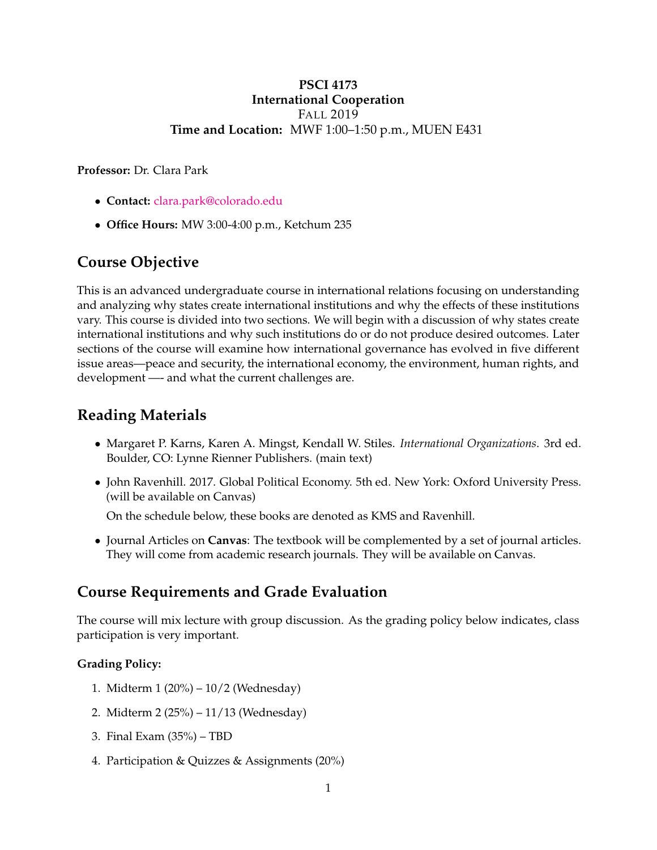### **PSCI 4173 International Cooperation** FALL 2019 **Time and Location:** MWF 1:00–1:50 p.m., MUEN E431

**Professor:** Dr. Clara Park

- **Contact:** [clara.park@colorado.edu](mailto:clara.park@colorado.edu)
- **Office Hours:** MW 3:00-4:00 p.m., Ketchum 235

# **Course Objective**

This is an advanced undergraduate course in international relations focusing on understanding and analyzing why states create international institutions and why the effects of these institutions vary. This course is divided into two sections. We will begin with a discussion of why states create international institutions and why such institutions do or do not produce desired outcomes. Later sections of the course will examine how international governance has evolved in five different issue areas—peace and security, the international economy, the environment, human rights, and development —- and what the current challenges are.

# **Reading Materials**

- Margaret P. Karns, Karen A. Mingst, Kendall W. Stiles. *International Organizations*. 3rd ed. Boulder, CO: Lynne Rienner Publishers. (main text)
- John Ravenhill. 2017. Global Political Economy. 5th ed. New York: Oxford University Press. (will be available on Canvas)

On the schedule below, these books are denoted as KMS and Ravenhill.

• Journal Articles on **Canvas**: The textbook will be complemented by a set of journal articles. They will come from academic research journals. They will be available on Canvas.

# **Course Requirements and Grade Evaluation**

The course will mix lecture with group discussion. As the grading policy below indicates, class participation is very important.

#### **Grading Policy:**

- 1. Midterm 1 (20%) 10/2 (Wednesday)
- 2. Midterm 2 (25%) 11/13 (Wednesday)
- 3. Final Exam (35%) TBD
- 4. Participation & Quizzes & Assignments (20%)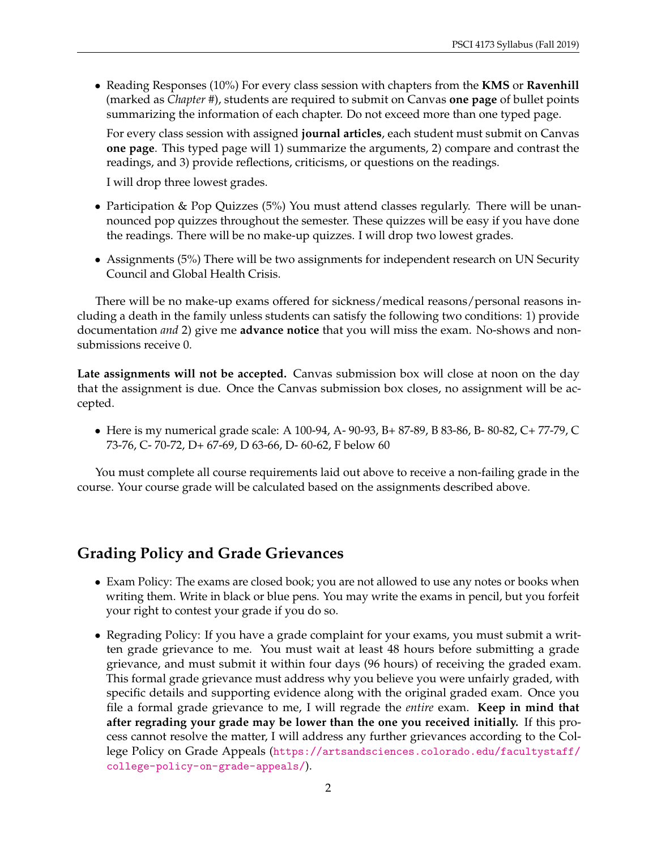• Reading Responses (10%) For every class session with chapters from the **KMS** or **Ravenhill** (marked as *Chapter #*), students are required to submit on Canvas **one page** of bullet points summarizing the information of each chapter. Do not exceed more than one typed page.

For every class session with assigned **journal articles**, each student must submit on Canvas **one page**. This typed page will 1) summarize the arguments, 2) compare and contrast the readings, and 3) provide reflections, criticisms, or questions on the readings.

I will drop three lowest grades.

- Participation & Pop Quizzes (5%) You must attend classes regularly. There will be unannounced pop quizzes throughout the semester. These quizzes will be easy if you have done the readings. There will be no make-up quizzes. I will drop two lowest grades.
- Assignments (5%) There will be two assignments for independent research on UN Security Council and Global Health Crisis.

There will be no make-up exams offered for sickness/medical reasons/personal reasons including a death in the family unless students can satisfy the following two conditions: 1) provide documentation *and* 2) give me **advance notice** that you will miss the exam. No-shows and nonsubmissions receive 0.

**Late assignments will not be accepted.** Canvas submission box will close at noon on the day that the assignment is due. Once the Canvas submission box closes, no assignment will be accepted.

• Here is my numerical grade scale: A 100-94, A- 90-93, B+ 87-89, B 83-86, B- 80-82, C+ 77-79, C 73-76, C- 70-72, D+ 67-69, D 63-66, D- 60-62, F below 60

You must complete all course requirements laid out above to receive a non-failing grade in the course. Your course grade will be calculated based on the assignments described above.

# **Grading Policy and Grade Grievances**

- Exam Policy: The exams are closed book; you are not allowed to use any notes or books when writing them. Write in black or blue pens. You may write the exams in pencil, but you forfeit your right to contest your grade if you do so.
- Regrading Policy: If you have a grade complaint for your exams, you must submit a written grade grievance to me. You must wait at least 48 hours before submitting a grade grievance, and must submit it within four days (96 hours) of receiving the graded exam. This formal grade grievance must address why you believe you were unfairly graded, with specific details and supporting evidence along with the original graded exam. Once you file a formal grade grievance to me, I will regrade the *entire* exam. **Keep in mind that after regrading your grade may be lower than the one you received initially.** If this process cannot resolve the matter, I will address any further grievances according to the College Policy on Grade Appeals ([https://artsandsciences.colorado.edu/facultystaff/](https://artsandsciences.colorado.edu/facultystaff/college-policy-on-grade-appeals/) [college-policy-on-grade-appeals/](https://artsandsciences.colorado.edu/facultystaff/college-policy-on-grade-appeals/)).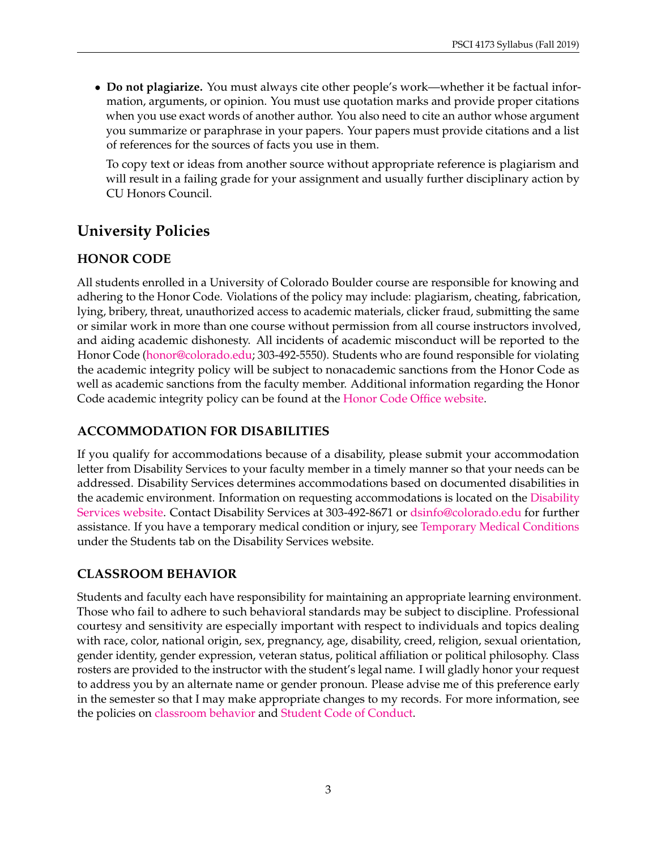• **Do not plagiarize.** You must always cite other people's work—whether it be factual information, arguments, or opinion. You must use quotation marks and provide proper citations when you use exact words of another author. You also need to cite an author whose argument you summarize or paraphrase in your papers. Your papers must provide citations and a list of references for the sources of facts you use in them.

To copy text or ideas from another source without appropriate reference is plagiarism and will result in a failing grade for your assignment and usually further disciplinary action by CU Honors Council.

# **University Policies**

# **HONOR CODE**

All students enrolled in a University of Colorado Boulder course are responsible for knowing and adhering to the Honor Code. Violations of the policy may include: plagiarism, cheating, fabrication, lying, bribery, threat, unauthorized access to academic materials, clicker fraud, submitting the same or similar work in more than one course without permission from all course instructors involved, and aiding academic dishonesty. All incidents of academic misconduct will be reported to the Honor Code [\(honor@colorado.edu;](mailto:honor@colorado.edu) 303-492-5550). Students who are found responsible for violating the academic integrity policy will be subject to nonacademic sanctions from the Honor Code as well as academic sanctions from the faculty member. Additional information regarding the Honor Code academic integrity policy can be found at the [Honor Code Office website.](https://www.colorado.edu/osccr/honor-code)

# **ACCOMMODATION FOR DISABILITIES**

If you qualify for accommodations because of a disability, please submit your accommodation letter from Disability Services to your faculty member in a timely manner so that your needs can be addressed. Disability Services determines accommodations based on documented disabilities in the academic environment. Information on requesting accommodations is located on the [Disability](https://www.colorado.edu/disabilityservices/students) [Services website.](https://www.colorado.edu/disabilityservices/students) Contact Disability Services at 303-492-8671 or [dsinfo@colorado.edu](mailto:dsinfo@colorado.edu) for further assistance. If you have a temporary medical condition or injury, see [Temporary Medical Conditions](https://www.colorado.edu/disabilityservices/students/temporary-medical-conditions) under the Students tab on the Disability Services website.

## **CLASSROOM BEHAVIOR**

Students and faculty each have responsibility for maintaining an appropriate learning environment. Those who fail to adhere to such behavioral standards may be subject to discipline. Professional courtesy and sensitivity are especially important with respect to individuals and topics dealing with race, color, national origin, sex, pregnancy, age, disability, creed, religion, sexual orientation, gender identity, gender expression, veteran status, political affiliation or political philosophy. Class rosters are provided to the instructor with the student's legal name. I will gladly honor your request to address you by an alternate name or gender pronoun. Please advise me of this preference early in the semester so that I may make appropriate changes to my records. For more information, see the policies on [classroom behavior](https://www.colorado.edu/policies/student-classroom-and-course-related-behavior) and [Student Code of Conduct.](https://www.colorado.edu/osccr/)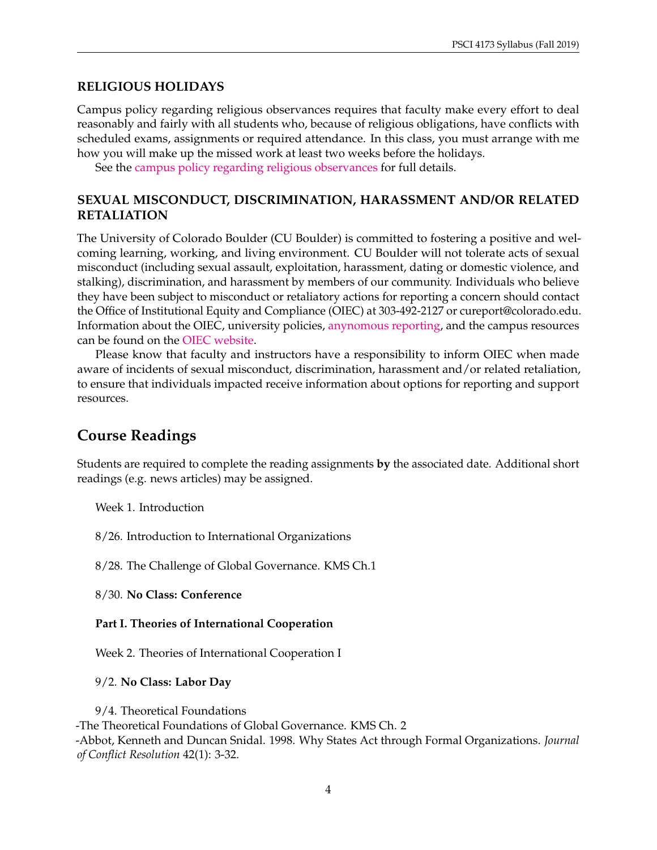### **RELIGIOUS HOLIDAYS**

Campus policy regarding religious observances requires that faculty make every effort to deal reasonably and fairly with all students who, because of religious obligations, have conflicts with scheduled exams, assignments or required attendance. In this class, you must arrange with me how you will make up the missed work at least two weeks before the holidays.

See the [campus policy regarding religious observances](https://www.colorado.edu/policies/observance-religious-holidays-and-absences-classes-andor-exams) for full details.

### **SEXUAL MISCONDUCT, DISCRIMINATION, HARASSMENT AND/OR RELATED RETALIATION**

The University of Colorado Boulder (CU Boulder) is committed to fostering a positive and welcoming learning, working, and living environment. CU Boulder will not tolerate acts of sexual misconduct (including sexual assault, exploitation, harassment, dating or domestic violence, and stalking), discrimination, and harassment by members of our community. Individuals who believe they have been subject to misconduct or retaliatory actions for reporting a concern should contact the Office of Institutional Equity and Compliance (OIEC) at 303-492-2127 or cureport@colorado.edu. Information about the OIEC, university policies, [anynomous reporting,](https://cuboulder.qualtrics.com/jfe/form/SV_0PnqVK4kkIJIZnf) and the campus resources can be found on the [OIEC website.](https://www.colorado.edu/institutionalequity/)

Please know that faculty and instructors have a responsibility to inform OIEC when made aware of incidents of sexual misconduct, discrimination, harassment and/or related retaliation, to ensure that individuals impacted receive information about options for reporting and support resources.

# **Course Readings**

Students are required to complete the reading assignments **by** the associated date. Additional short readings (e.g. news articles) may be assigned.

Week 1. Introduction

8/26. Introduction to International Organizations

8/28. The Challenge of Global Governance. KMS Ch.1

8/30. **No Class: Conference**

#### **Part I. Theories of International Cooperation**

Week 2. Theories of International Cooperation I

#### 9/2. **No Class: Labor Day**

9/4. Theoretical Foundations -The Theoretical Foundations of Global Governance. KMS Ch. 2 -Abbot, Kenneth and Duncan Snidal. 1998. Why States Act through Formal Organizations. *Journal of Conflict Resolution* 42(1): 3-32.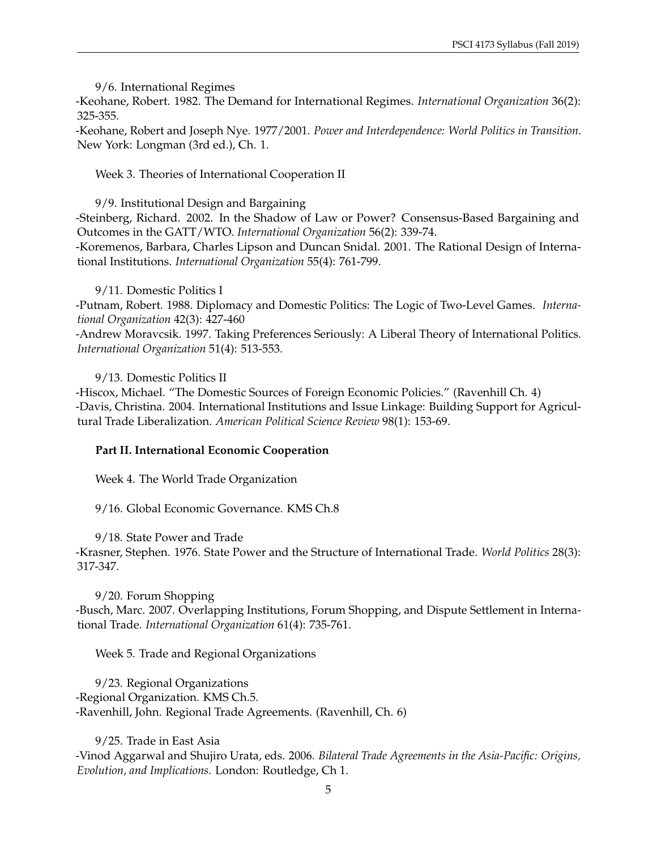9/6. International Regimes

-Keohane, Robert. 1982. The Demand for International Regimes. *International Organization* 36(2): 325-355.

-Keohane, Robert and Joseph Nye. 1977/2001. *Power and Interdependence: World Politics in Transition*. New York: Longman (3rd ed.), Ch. 1.

Week 3. Theories of International Cooperation II

9/9. Institutional Design and Bargaining

-Steinberg, Richard. 2002. In the Shadow of Law or Power? Consensus-Based Bargaining and Outcomes in the GATT/WTO. *International Organization* 56(2): 339-74.

-Koremenos, Barbara, Charles Lipson and Duncan Snidal. 2001. The Rational Design of International Institutions. *International Organization* 55(4): 761-799.

#### 9/11. Domestic Politics I

-Putnam, Robert. 1988. Diplomacy and Domestic Politics: The Logic of Two-Level Games. *International Organization* 42(3): 427-460

-Andrew Moravcsik. 1997. Taking Preferences Seriously: A Liberal Theory of International Politics. *International Organization* 51(4): 513-553.

9/13. Domestic Politics II

-Hiscox, Michael. "The Domestic Sources of Foreign Economic Policies." (Ravenhill Ch. 4) -Davis, Christina. 2004. International Institutions and Issue Linkage: Building Support for Agricultural Trade Liberalization. *American Political Science Review* 98(1): 153-69.

### **Part II. International Economic Cooperation**

Week 4. The World Trade Organization

9/16. Global Economic Governance. KMS Ch.8

9/18. State Power and Trade

-Krasner, Stephen. 1976. State Power and the Structure of International Trade. *World Politics* 28(3): 317-347.

9/20. Forum Shopping -Busch, Marc. 2007. Overlapping Institutions, Forum Shopping, and Dispute Settlement in International Trade. *International Organization* 61(4): 735-761.

Week 5. Trade and Regional Organizations

9/23. Regional Organizations -Regional Organization. KMS Ch.5. -Ravenhill, John. Regional Trade Agreements. (Ravenhill, Ch. 6)

9/25. Trade in East Asia -Vinod Aggarwal and Shujiro Urata, eds. 2006. *Bilateral Trade Agreements in the Asia-Pacific: Origins, Evolution, and Implications.* London: Routledge, Ch 1.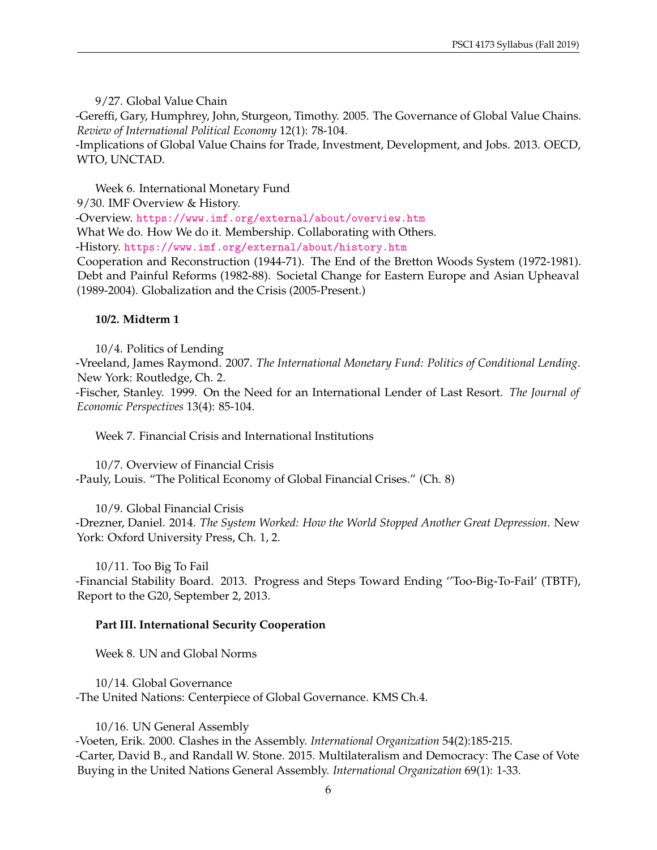9/27. Global Value Chain

-Gereffi, Gary, Humphrey, John, Sturgeon, Timothy. 2005. The Governance of Global Value Chains. *Review of International Political Economy* 12(1): 78-104.

-Implications of Global Value Chains for Trade, Investment, Development, and Jobs. 2013. OECD, WTO, UNCTAD.

Week 6. International Monetary Fund

9/30. IMF Overview & History.

-Overview. <https://www.imf.org/external/about/overview.htm>

What We do. How We do it. Membership. Collaborating with Others.

-History. <https://www.imf.org/external/about/history.htm>

Cooperation and Reconstruction (1944-71). The End of the Bretton Woods System (1972-1981). Debt and Painful Reforms (1982-88). Societal Change for Eastern Europe and Asian Upheaval (1989-2004). Globalization and the Crisis (2005-Present.)

#### **10/2. Midterm 1**

10/4. Politics of Lending

-Vreeland, James Raymond. 2007. *The International Monetary Fund: Politics of Conditional Lending.* New York: Routledge, Ch. 2.

-Fischer, Stanley. 1999. On the Need for an International Lender of Last Resort. *The Journal of Economic Perspectives* 13(4): 85-104.

Week 7. Financial Crisis and International Institutions

10/7. Overview of Financial Crisis -Pauly, Louis. "The Political Economy of Global Financial Crises." (Ch. 8)

10/9. Global Financial Crisis -Drezner, Daniel. 2014. *The System Worked: How the World Stopped Another Great Depression*. New York: Oxford University Press, Ch. 1, 2.

10/11. Too Big To Fail -Financial Stability Board. 2013. Progress and Steps Toward Ending ''Too-Big-To-Fail' (TBTF), Report to the G20, September 2, 2013.

#### **Part III. International Security Cooperation**

Week 8. UN and Global Norms

10/14. Global Governance -The United Nations: Centerpiece of Global Governance. KMS Ch.4.

10/16. UN General Assembly

-Voeten, Erik. 2000. Clashes in the Assembly. *International Organization* 54(2):185-215. -Carter, David B., and Randall W. Stone. 2015. Multilateralism and Democracy: The Case of Vote Buying in the United Nations General Assembly. *International Organization* 69(1): 1-33.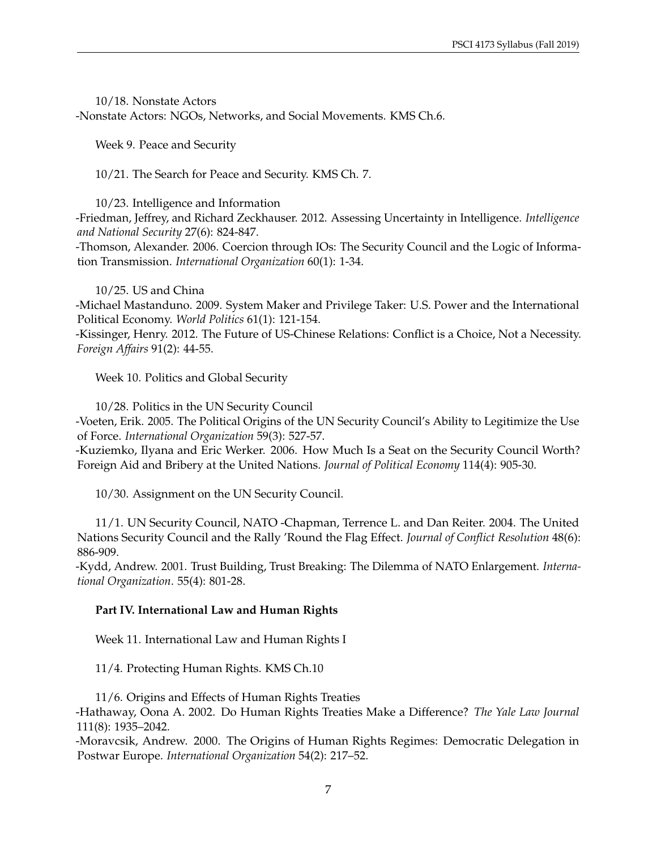10/18. Nonstate Actors -Nonstate Actors: NGOs, Networks, and Social Movements. KMS Ch.6.

Week 9. Peace and Security

10/21. The Search for Peace and Security. KMS Ch. 7.

10/23. Intelligence and Information

-Friedman, Jeffrey, and Richard Zeckhauser. 2012. Assessing Uncertainty in Intelligence. *Intelligence and National Security* 27(6): 824-847.

-Thomson, Alexander. 2006. Coercion through IOs: The Security Council and the Logic of Information Transmission. *International Organization* 60(1): 1-34.

10/25. US and China

-Michael Mastanduno. 2009. System Maker and Privilege Taker: U.S. Power and the International Political Economy. *World Politics* 61(1): 121-154.

-Kissinger, Henry. 2012. The Future of US-Chinese Relations: Conflict is a Choice, Not a Necessity. *Foreign Affairs* 91(2): 44-55.

Week 10. Politics and Global Security

10/28. Politics in the UN Security Council

-Voeten, Erik. 2005. The Political Origins of the UN Security Council's Ability to Legitimize the Use of Force. *International Organization* 59(3): 527-57.

-Kuziemko, Ilyana and Eric Werker. 2006. How Much Is a Seat on the Security Council Worth? Foreign Aid and Bribery at the United Nations. *Journal of Political Economy* 114(4): 905-30.

10/30. Assignment on the UN Security Council.

11/1. UN Security Council, NATO -Chapman, Terrence L. and Dan Reiter. 2004. The United Nations Security Council and the Rally 'Round the Flag Effect. *Journal of Conflict Resolution* 48(6): 886-909.

-Kydd, Andrew. 2001. Trust Building, Trust Breaking: The Dilemma of NATO Enlargement. *International Organization*. 55(4): 801-28.

### **Part IV. International Law and Human Rights**

Week 11. International Law and Human Rights I

11/4. Protecting Human Rights. KMS Ch.10

11/6. Origins and Effects of Human Rights Treaties

-Hathaway, Oona A. 2002. Do Human Rights Treaties Make a Difference? *The Yale Law Journal* 111(8): 1935–2042.

-Moravcsik, Andrew. 2000. The Origins of Human Rights Regimes: Democratic Delegation in Postwar Europe. *International Organization* 54(2): 217–52.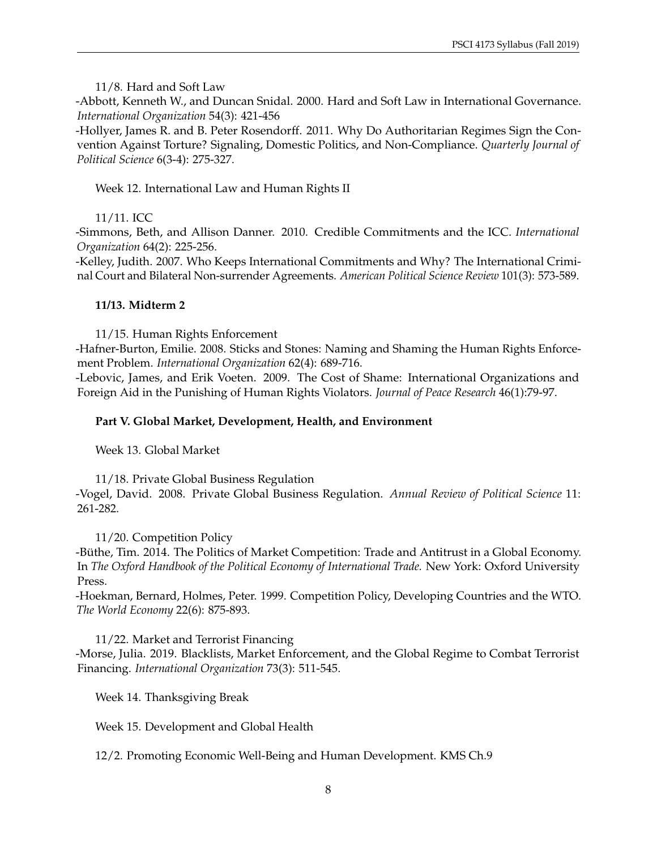11/8. Hard and Soft Law

-Abbott, Kenneth W., and Duncan Snidal. 2000. Hard and Soft Law in International Governance. *International Organization* 54(3): 421-456

-Hollyer, James R. and B. Peter Rosendorff. 2011. Why Do Authoritarian Regimes Sign the Convention Against Torture? Signaling, Domestic Politics, and Non-Compliance. *Quarterly Journal of Political Science* 6(3-4): 275-327.

Week 12. International Law and Human Rights II

11/11. ICC

-Simmons, Beth, and Allison Danner. 2010. Credible Commitments and the ICC. *International Organization* 64(2): 225-256.

-Kelley, Judith. 2007. Who Keeps International Commitments and Why? The International Criminal Court and Bilateral Non-surrender Agreements. *American Political Science Review* 101(3): 573-589.

### **11/13. Midterm 2**

11/15. Human Rights Enforcement

-Hafner-Burton, Emilie. 2008. Sticks and Stones: Naming and Shaming the Human Rights Enforcement Problem. *International Organization* 62(4): 689-716.

-Lebovic, James, and Erik Voeten. 2009. The Cost of Shame: International Organizations and Foreign Aid in the Punishing of Human Rights Violators. *Journal of Peace Research* 46(1):79-97.

### **Part V. Global Market, Development, Health, and Environment**

Week 13. Global Market

11/18. Private Global Business Regulation -Vogel, David. 2008. Private Global Business Regulation. *Annual Review of Political Science* 11: 261-282.

11/20. Competition Policy

-Büthe, Tim. 2014. The Politics of Market Competition: Trade and Antitrust in a Global Economy. In *The Oxford Handbook of the Political Economy of International Trade.* New York: Oxford University Press.

-Hoekman, Bernard, Holmes, Peter. 1999. Competition Policy, Developing Countries and the WTO. *The World Economy* 22(6): 875-893.

11/22. Market and Terrorist Financing -Morse, Julia. 2019. Blacklists, Market Enforcement, and the Global Regime to Combat Terrorist Financing. *International Organization* 73(3): 511-545.

Week 14. Thanksgiving Break

Week 15. Development and Global Health

12/2. Promoting Economic Well-Being and Human Development. KMS Ch.9